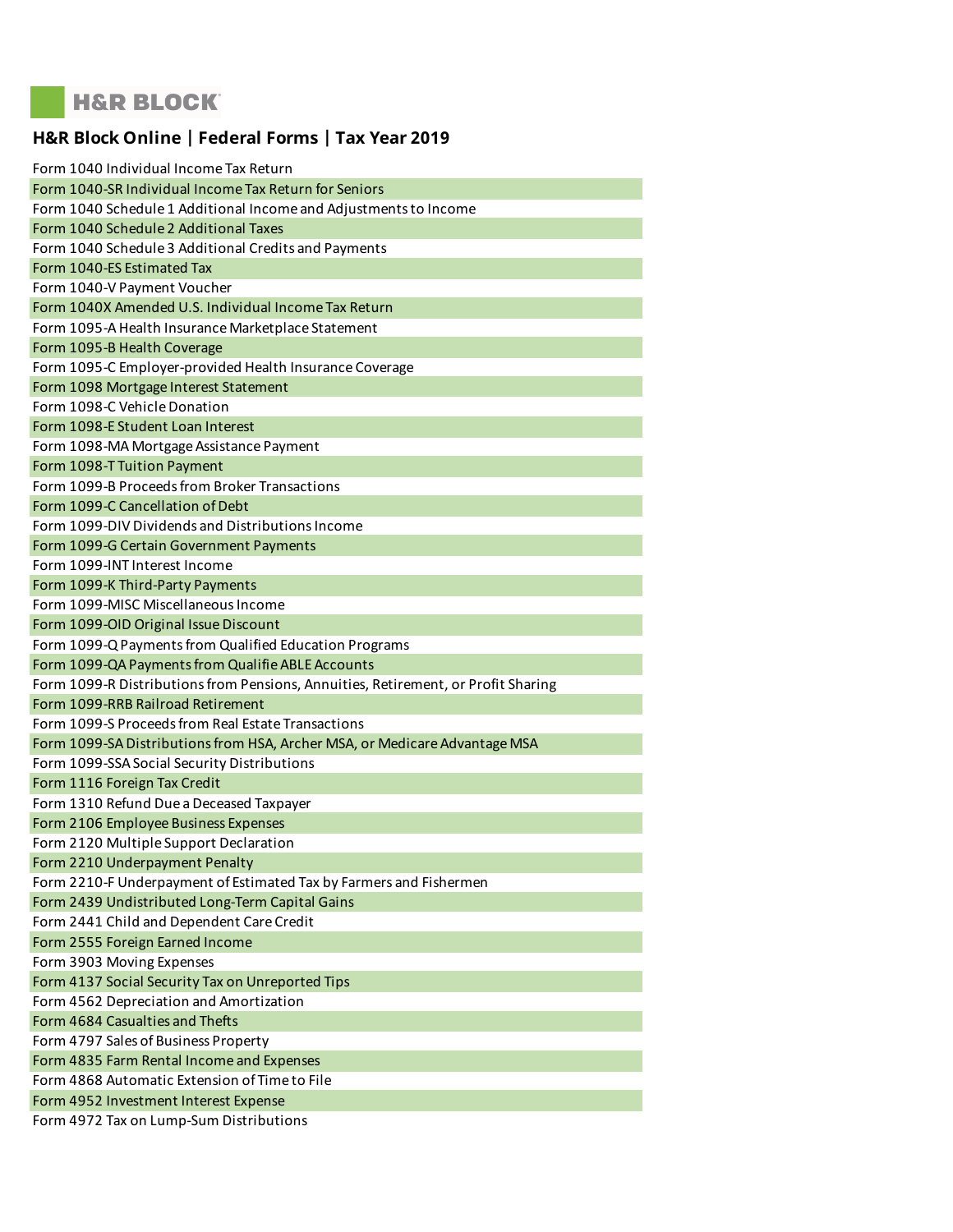## **H&R BLOCK**

## **H&R Block Online | Federal Forms | Tax Year 2019**

| Form 1040 Individual Income Tax Return                                            |
|-----------------------------------------------------------------------------------|
| Form 1040-SR Individual Income Tax Return for Seniors                             |
| Form 1040 Schedule 1 Additional Income and Adjustments to Income                  |
| Form 1040 Schedule 2 Additional Taxes                                             |
| Form 1040 Schedule 3 Additional Credits and Payments                              |
| Form 1040-ES Estimated Tax                                                        |
| Form 1040-V Payment Voucher                                                       |
| Form 1040X Amended U.S. Individual Income Tax Return                              |
| Form 1095-A Health Insurance Marketplace Statement                                |
| Form 1095-B Health Coverage                                                       |
| Form 1095-C Employer-provided Health Insurance Coverage                           |
| Form 1098 Mortgage Interest Statement                                             |
| Form 1098-C Vehicle Donation                                                      |
| Form 1098-E Student Loan Interest                                                 |
| Form 1098-MA Mortgage Assistance Payment                                          |
| Form 1098-T Tuition Payment                                                       |
| Form 1099-B Proceeds from Broker Transactions                                     |
| Form 1099-C Cancellation of Debt                                                  |
| Form 1099-DIV Dividends and Distributions Income                                  |
| Form 1099-G Certain Government Payments                                           |
| Form 1099-INT Interest Income                                                     |
| Form 1099-K Third-Party Payments                                                  |
| Form 1099-MISC Miscellaneous Income                                               |
| Form 1099-OID Original Issue Discount                                             |
| Form 1099-Q Payments from Qualified Education Programs                            |
|                                                                                   |
| Form 1099-QA Payments from Qualifie ABLE Accounts                                 |
| Form 1099-R Distributions from Pensions, Annuities, Retirement, or Profit Sharing |
| Form 1099-RRB Railroad Retirement                                                 |
| Form 1099-S Proceeds from Real Estate Transactions                                |
| Form 1099-SA Distributions from HSA, Archer MSA, or Medicare Advantage MSA        |
| Form 1099-SSA Social Security Distributions                                       |
| Form 1116 Foreign Tax Credit                                                      |
| Form 1310 Refund Due a Deceased Taxpayer                                          |
| Form 2106 Employee Business Expenses                                              |
| Form 2120 Multiple Support Declaration                                            |
| Form 2210 Underpayment Penalty                                                    |
| Form 2210-F Underpayment of Estimated Tax by Farmers and Fishermen                |
| Form 2439 Undistributed Long-Term Capital Gains                                   |
| Form 2441 Child and Dependent Care Credit                                         |
| Form 2555 Foreign Earned Income                                                   |
| Form 3903 Moving Expenses                                                         |
| Form 4137 Social Security Tax on Unreported Tips                                  |
| Form 4562 Depreciation and Amortization                                           |
| Form 4684 Casualties and Thefts                                                   |
| Form 4797 Sales of Business Property                                              |
| Form 4835 Farm Rental Income and Expenses                                         |
| Form 4868 Automatic Extension of Time to File                                     |
| Form 4952 Investment Interest Expense<br>Form 4972 Tax on Lump-Sum Distributions  |